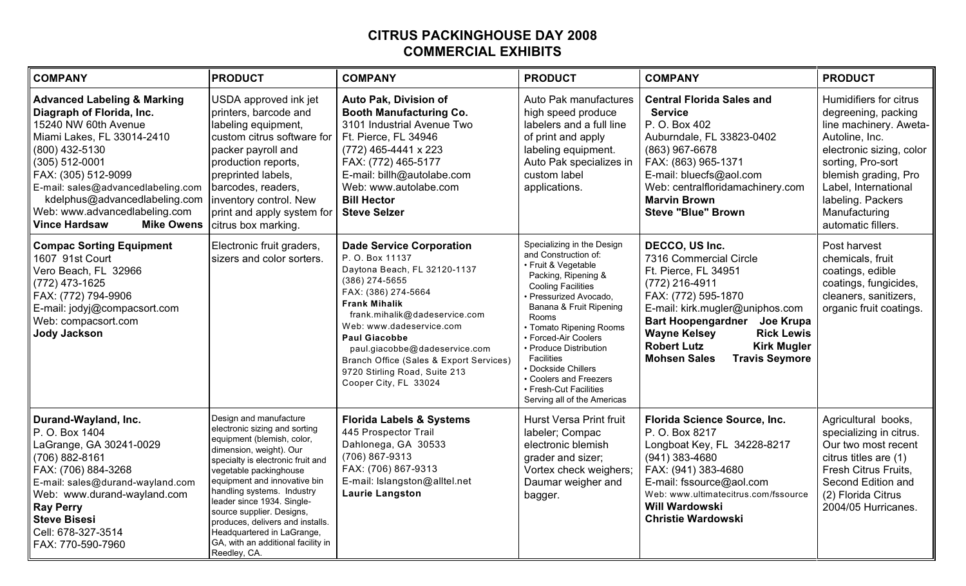## **CITRUS PACKINGHOUSE DAY 2008 COMMERCIAL EXHIBITS**

| <b>COMPANY</b>                                                                                                                                                                                                                                                                                                                                | <b>PRODUCT</b>                                                                                                                                                                                                                                                                                                                                                                                                                   | <b>COMPANY</b>                                                                                                                                                                                                                                                                                                                                                                  | <b>PRODUCT</b>                                                                                                                                                                                                                                                                                                                                                                                      | <b>COMPANY</b>                                                                                                                                                                                                                                                                                                       | <b>PRODUCT</b>                                                                                                                                                                                                                                         |
|-----------------------------------------------------------------------------------------------------------------------------------------------------------------------------------------------------------------------------------------------------------------------------------------------------------------------------------------------|----------------------------------------------------------------------------------------------------------------------------------------------------------------------------------------------------------------------------------------------------------------------------------------------------------------------------------------------------------------------------------------------------------------------------------|---------------------------------------------------------------------------------------------------------------------------------------------------------------------------------------------------------------------------------------------------------------------------------------------------------------------------------------------------------------------------------|-----------------------------------------------------------------------------------------------------------------------------------------------------------------------------------------------------------------------------------------------------------------------------------------------------------------------------------------------------------------------------------------------------|----------------------------------------------------------------------------------------------------------------------------------------------------------------------------------------------------------------------------------------------------------------------------------------------------------------------|--------------------------------------------------------------------------------------------------------------------------------------------------------------------------------------------------------------------------------------------------------|
| <b>Advanced Labeling &amp; Marking</b><br>Diagraph of Florida, Inc.<br>15240 NW 60th Avenue<br>Miami Lakes, FL 33014-2410<br>(800) 432-5130<br>$(305) 512 - 0001$<br>FAX: (305) 512-9099<br>E-mail: sales@advancedlabeling.com<br>kdelphus@advancedlabeling.com<br>Web: www.advancedlabeling.com<br><b>Vince Hardsaw</b><br><b>Mike Owens</b> | USDA approved ink jet<br>printers, barcode and<br>labeling equipment,<br>custom citrus software for<br>packer payroll and<br>production reports,<br>preprinted labels,<br>barcodes, readers,<br>inventory control. New<br>print and apply system for<br>citrus box marking.                                                                                                                                                      | Auto Pak, Division of<br><b>Booth Manufacturing Co.</b><br>3101 Industrial Avenue Two<br>Ft. Pierce, FL 34946<br>$(772)$ 465-4441 x 223<br>FAX: (772) 465-5177<br>E-mail: billh@autolabe.com<br>Web: www.autolabe.com<br><b>Bill Hector</b><br><b>Steve Selzer</b>                                                                                                              | Auto Pak manufactures<br>high speed produce<br>labelers and a full line<br>of print and apply<br>labeling equipment.<br>Auto Pak specializes in<br>custom label<br>applications.                                                                                                                                                                                                                    | <b>Central Florida Sales and</b><br><b>Service</b><br>P. O. Box 402<br>Auburndale, FL 33823-0402<br>(863) 967-6678<br>FAX: (863) 965-1371<br>E-mail: bluecfs@aol.com<br>Web: centralfloridamachinery.com<br><b>Marvin Brown</b><br><b>Steve "Blue" Brown</b>                                                         | Humidifiers for citrus<br>degreening, packing<br>line machinery. Aweta-<br>Autoline, Inc.<br>electronic sizing, color<br>sorting, Pro-sort<br>blemish grading, Pro<br>Label, International<br>labeling. Packers<br>Manufacturing<br>automatic fillers. |
| <b>Compac Sorting Equipment</b><br>1607 91st Court<br>Vero Beach, FL 32966<br>(772) 473-1625<br>FAX: (772) 794-9906<br>E-mail: jodyj@compacsort.com<br>Web: compacsort.com<br><b>Jody Jackson</b>                                                                                                                                             | Electronic fruit graders,<br>sizers and color sorters.                                                                                                                                                                                                                                                                                                                                                                           | <b>Dade Service Corporation</b><br>P.O. Box 11137<br>Daytona Beach, FL 32120-1137<br>$(386)$ 274-5655<br>FAX: (386) 274-5664<br><b>Frank Mihalik</b><br>frank.mihalik@dadeservice.com<br>Web: www.dadeservice.com<br><b>Paul Giacobbe</b><br>paul.giacobbe@dadeservice.com<br>Branch Office (Sales & Export Services)<br>9720 Stirling Road, Suite 213<br>Cooper City, FL 33024 | Specializing in the Design<br>and Construction of:<br>• Fruit & Vegetable<br>Packing, Ripening &<br><b>Cooling Facilities</b><br>Pressurized Avocado,<br>Banana & Fruit Ripening<br><b>Rooms</b><br>• Tomato Ripening Rooms<br>• Forced-Air Coolers<br>• Produce Distribution<br>Facilities<br>Dockside Chillers<br>• Coolers and Freezers<br>• Fresh-Cut Facilities<br>Serving all of the Americas | DECCO, US Inc.<br>7316 Commercial Circle<br>Ft. Pierce, FL 34951<br>(772) 216-4911<br>FAX: (772) 595-1870<br>E-mail: kirk.mugler@uniphos.com<br>Bart Hoopengardner Joe Krupa<br><b>Rick Lewis</b><br><b>Wayne Kelsey</b><br><b>Robert Lutz</b><br><b>Kirk Mugler</b><br><b>Mohsen Sales</b><br><b>Travis Seymore</b> | Post harvest<br>chemicals, fruit<br>coatings, edible<br>coatings, fungicides,<br>cleaners, sanitizers,<br>organic fruit coatings.                                                                                                                      |
| Durand-Wayland, Inc.<br>P. O. Box 1404<br>LaGrange, GA 30241-0029<br>(706) 882-8161<br>FAX: (706) 884-3268<br>E-mail: sales@durand-wayland.com<br>Web: www.durand-wayland.com<br><b>Ray Perry</b><br><b>Steve Bisesi</b><br>Cell: 678-327-3514<br>FAX: 770-590-7960                                                                           | Design and manufacture<br>electronic sizing and sorting<br>equipment (blemish, color,<br>dimension, weight). Our<br>specialty is electronic fruit and<br>vegetable packinghouse<br>equipment and innovative bin<br>handling systems. Industry<br>leader since 1934. Single-<br>source supplier. Designs,<br>produces, delivers and installs.<br>Headquartered in LaGrange,<br>GA, with an additional facility in<br>Reedley, CA. | <b>Florida Labels &amp; Systems</b><br>445 Prospector Trail<br>Dahlonega, GA 30533<br>(706) 867-9313<br>FAX: (706) 867-9313<br>E-mail: Islangston@alltel.net<br><b>Laurie Langston</b>                                                                                                                                                                                          | Hurst Versa Print fruit<br>labeler; Compac<br>electronic blemish<br>grader and sizer;<br>Vortex check weighers;<br>Daumar weigher and<br>bagger.                                                                                                                                                                                                                                                    | Florida Science Source, Inc.<br>P. O. Box 8217<br>Longboat Key, FL 34228-8217<br>$(941)$ 383-4680<br>FAX: (941) 383-4680<br>E-mail: fssource@aol.com<br>Web: www.ultimatecitrus.com/fssource<br>Will Wardowski<br><b>Christie Wardowski</b>                                                                          | Agricultural books,<br>specializing in citrus.<br>Our two most recent<br>citrus titles are (1)<br>Fresh Citrus Fruits,<br>Second Edition and<br>(2) Florida Citrus<br>2004/05 Hurricanes.                                                              |